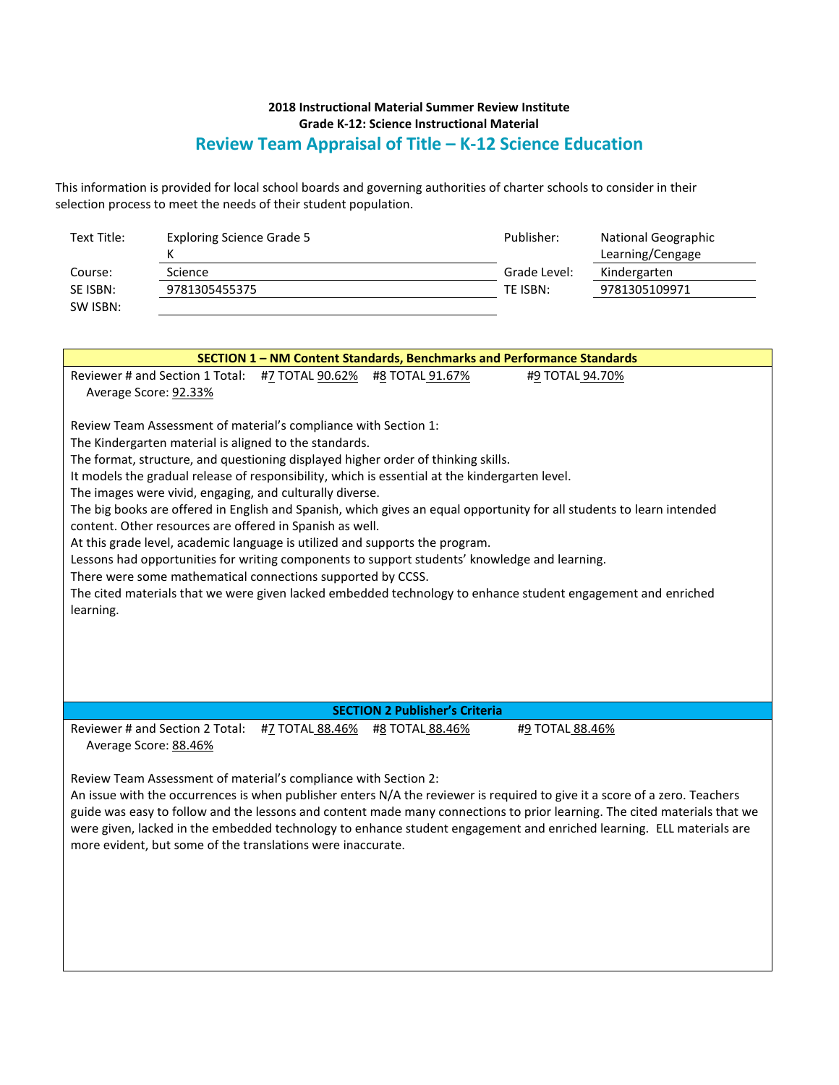## **2018 Instructional Material Summer Review Institute Grade K-12: Science Instructional Material Review Team Appraisal of Title – K-12 Science Education**

This information is provided for local school boards and governing authorities of charter schools to consider in their selection process to meet the needs of their student population.

| Text Title: | <b>Exploring Science Grade 5</b> | Publisher:   | National Geographic |  |
|-------------|----------------------------------|--------------|---------------------|--|
|             |                                  |              | Learning/Cengage    |  |
| Course:     | Science                          | Grade Level: | Kindergarten        |  |
| SE ISBN:    | 9781305455375                    | TE ISBN:     | 9781305109971       |  |
| SW ISBN:    |                                  |              |                     |  |

| <b>SECTION 1 - NM Content Standards, Benchmarks and Performance Standards</b>                                                                                                                                                                                                                                                                                                                                                                                                                                                                                                                                                                                                                                                                                                                                                                                                                                                                  |  |  |  |  |  |  |
|------------------------------------------------------------------------------------------------------------------------------------------------------------------------------------------------------------------------------------------------------------------------------------------------------------------------------------------------------------------------------------------------------------------------------------------------------------------------------------------------------------------------------------------------------------------------------------------------------------------------------------------------------------------------------------------------------------------------------------------------------------------------------------------------------------------------------------------------------------------------------------------------------------------------------------------------|--|--|--|--|--|--|
| Reviewer # and Section 1 Total: #7 TOTAL 90.62%<br>#8 TOTAL 91.67%<br>#9 TOTAL 94.70%<br>Average Score: 92.33%                                                                                                                                                                                                                                                                                                                                                                                                                                                                                                                                                                                                                                                                                                                                                                                                                                 |  |  |  |  |  |  |
| Review Team Assessment of material's compliance with Section 1:<br>The Kindergarten material is aligned to the standards.<br>The format, structure, and questioning displayed higher order of thinking skills.<br>It models the gradual release of responsibility, which is essential at the kindergarten level.<br>The images were vivid, engaging, and culturally diverse.<br>The big books are offered in English and Spanish, which gives an equal opportunity for all students to learn intended<br>content. Other resources are offered in Spanish as well.<br>At this grade level, academic language is utilized and supports the program.<br>Lessons had opportunities for writing components to support students' knowledge and learning.<br>There were some mathematical connections supported by CCSS.<br>The cited materials that we were given lacked embedded technology to enhance student engagement and enriched<br>learning. |  |  |  |  |  |  |
| <b>SECTION 2 Publisher's Criteria</b>                                                                                                                                                                                                                                                                                                                                                                                                                                                                                                                                                                                                                                                                                                                                                                                                                                                                                                          |  |  |  |  |  |  |
| Reviewer # and Section 2 Total:<br>#7 TOTAL 88.46%<br>#9 TOTAL 88.46%<br>#8 TOTAL 88.46%<br>Average Score: 88.46%                                                                                                                                                                                                                                                                                                                                                                                                                                                                                                                                                                                                                                                                                                                                                                                                                              |  |  |  |  |  |  |
| Review Team Assessment of material's compliance with Section 2:<br>An issue with the occurrences is when publisher enters N/A the reviewer is required to give it a score of a zero. Teachers<br>guide was easy to follow and the lessons and content made many connections to prior learning. The cited materials that we<br>were given, lacked in the embedded technology to enhance student engagement and enriched learning. ELL materials are<br>more evident, but some of the translations were inaccurate.                                                                                                                                                                                                                                                                                                                                                                                                                              |  |  |  |  |  |  |
|                                                                                                                                                                                                                                                                                                                                                                                                                                                                                                                                                                                                                                                                                                                                                                                                                                                                                                                                                |  |  |  |  |  |  |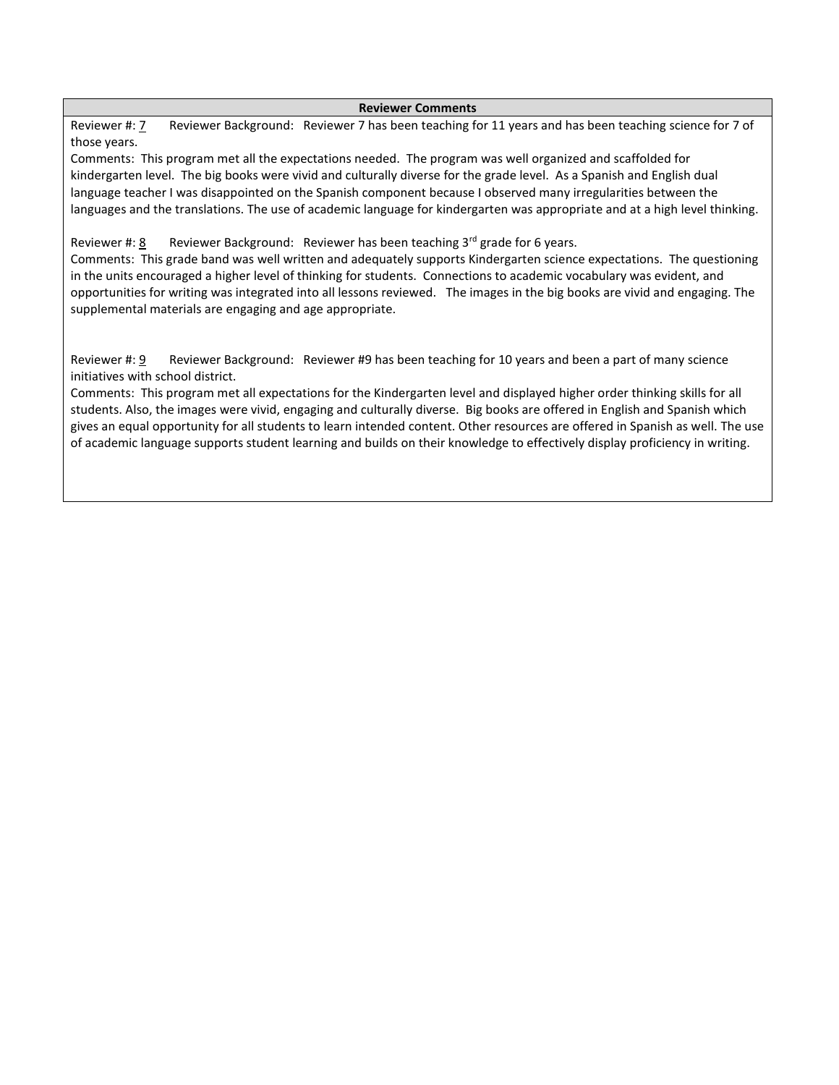## **Reviewer Comments**

Reviewer #: 7 Reviewer Background: Reviewer 7 has been teaching for 11 years and has been teaching science for 7 of those years.

Comments: This program met all the expectations needed. The program was well organized and scaffolded for kindergarten level. The big books were vivid and culturally diverse for the grade level. As a Spanish and English dual language teacher I was disappointed on the Spanish component because I observed many irregularities between the languages and the translations. The use of academic language for kindergarten was appropriate and at a high level thinking.

## Reviewer #: 8 Reviewer Background: Reviewer has been teaching  $3^{rd}$  grade for 6 years.

Comments: This grade band was well written and adequately supports Kindergarten science expectations. The questioning in the units encouraged a higher level of thinking for students. Connections to academic vocabulary was evident, and opportunities for writing was integrated into all lessons reviewed. The images in the big books are vivid and engaging. The supplemental materials are engaging and age appropriate.

Reviewer #: 9 Reviewer Background: Reviewer #9 has been teaching for 10 years and been a part of many science initiatives with school district.

Comments: This program met all expectations for the Kindergarten level and displayed higher order thinking skills for all students. Also, the images were vivid, engaging and culturally diverse. Big books are offered in English and Spanish which gives an equal opportunity for all students to learn intended content. Other resources are offered in Spanish as well. The use of academic language supports student learning and builds on their knowledge to effectively display proficiency in writing.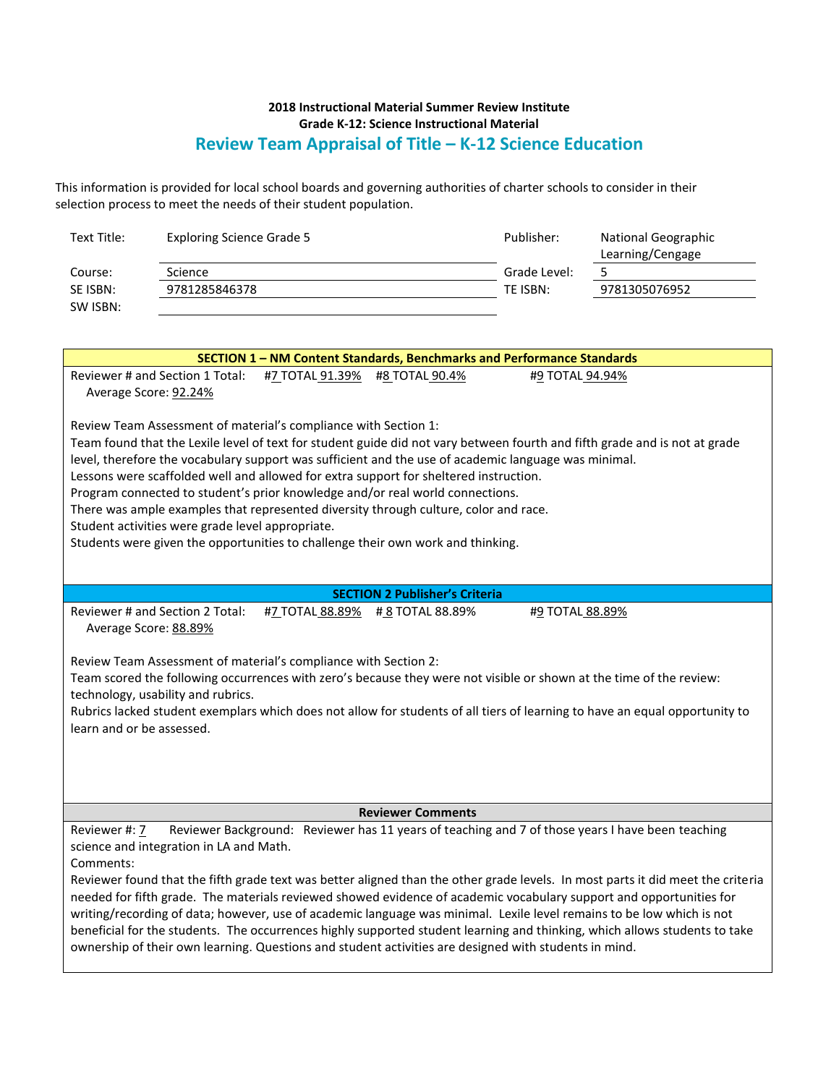## **2018 Instructional Material Summer Review Institute Grade K-12: Science Instructional Material Review Team Appraisal of Title – K-12 Science Education**

This information is provided for local school boards and governing authorities of charter schools to consider in their selection process to meet the needs of their student population.

| Text Title:                                                                                                                                                                                                                         | <b>Exploring Science Grade 5</b>                                |                 |                                                                                                                                                                       | Publisher:      | <b>National Geographic</b>                                                                                                      |  |  |
|-------------------------------------------------------------------------------------------------------------------------------------------------------------------------------------------------------------------------------------|-----------------------------------------------------------------|-----------------|-----------------------------------------------------------------------------------------------------------------------------------------------------------------------|-----------------|---------------------------------------------------------------------------------------------------------------------------------|--|--|
| Course:                                                                                                                                                                                                                             | Science                                                         |                 |                                                                                                                                                                       | Grade Level:    | Learning/Cengage<br>5                                                                                                           |  |  |
| SE ISBN:                                                                                                                                                                                                                            | 9781285846378                                                   |                 |                                                                                                                                                                       | TE ISBN:        | 9781305076952                                                                                                                   |  |  |
| SW ISBN:                                                                                                                                                                                                                            |                                                                 |                 |                                                                                                                                                                       |                 |                                                                                                                                 |  |  |
|                                                                                                                                                                                                                                     |                                                                 |                 |                                                                                                                                                                       |                 |                                                                                                                                 |  |  |
|                                                                                                                                                                                                                                     |                                                                 |                 |                                                                                                                                                                       |                 |                                                                                                                                 |  |  |
| SECTION 1 - NM Content Standards, Benchmarks and Performance Standards                                                                                                                                                              |                                                                 |                 |                                                                                                                                                                       |                 |                                                                                                                                 |  |  |
| Reviewer # and Section 1 Total:<br>#7 TOTAL 91.39%<br>#8 TOTAL 90.4%<br>#9 TOTAL 94.94%                                                                                                                                             |                                                                 |                 |                                                                                                                                                                       |                 |                                                                                                                                 |  |  |
| Average Score: 92.24%                                                                                                                                                                                                               |                                                                 |                 |                                                                                                                                                                       |                 |                                                                                                                                 |  |  |
|                                                                                                                                                                                                                                     |                                                                 |                 |                                                                                                                                                                       |                 |                                                                                                                                 |  |  |
|                                                                                                                                                                                                                                     | Review Team Assessment of material's compliance with Section 1: |                 |                                                                                                                                                                       |                 |                                                                                                                                 |  |  |
|                                                                                                                                                                                                                                     |                                                                 |                 |                                                                                                                                                                       |                 | Team found that the Lexile level of text for student guide did not vary between fourth and fifth grade and is not at grade      |  |  |
|                                                                                                                                                                                                                                     |                                                                 |                 | level, therefore the vocabulary support was sufficient and the use of academic language was minimal.                                                                  |                 |                                                                                                                                 |  |  |
|                                                                                                                                                                                                                                     |                                                                 |                 | Lessons were scaffolded well and allowed for extra support for sheltered instruction.                                                                                 |                 |                                                                                                                                 |  |  |
|                                                                                                                                                                                                                                     |                                                                 |                 | Program connected to student's prior knowledge and/or real world connections.<br>There was ample examples that represented diversity through culture, color and race. |                 |                                                                                                                                 |  |  |
|                                                                                                                                                                                                                                     | Student activities were grade level appropriate.                |                 |                                                                                                                                                                       |                 |                                                                                                                                 |  |  |
|                                                                                                                                                                                                                                     |                                                                 |                 | Students were given the opportunities to challenge their own work and thinking.                                                                                       |                 |                                                                                                                                 |  |  |
|                                                                                                                                                                                                                                     |                                                                 |                 |                                                                                                                                                                       |                 |                                                                                                                                 |  |  |
|                                                                                                                                                                                                                                     |                                                                 |                 |                                                                                                                                                                       |                 |                                                                                                                                 |  |  |
|                                                                                                                                                                                                                                     |                                                                 |                 | <b>SECTION 2 Publisher's Criteria</b>                                                                                                                                 |                 |                                                                                                                                 |  |  |
|                                                                                                                                                                                                                                     | Reviewer # and Section 2 Total:                                 | #7 TOTAL 88.89% | #8 TOTAL 88.89%                                                                                                                                                       | #9 TOTAL 88.89% |                                                                                                                                 |  |  |
|                                                                                                                                                                                                                                     | Average Score: 88.89%                                           |                 |                                                                                                                                                                       |                 |                                                                                                                                 |  |  |
|                                                                                                                                                                                                                                     |                                                                 |                 |                                                                                                                                                                       |                 |                                                                                                                                 |  |  |
|                                                                                                                                                                                                                                     | Review Team Assessment of material's compliance with Section 2: |                 |                                                                                                                                                                       |                 |                                                                                                                                 |  |  |
|                                                                                                                                                                                                                                     |                                                                 |                 |                                                                                                                                                                       |                 | Team scored the following occurrences with zero's because they were not visible or shown at the time of the review:             |  |  |
|                                                                                                                                                                                                                                     | technology, usability and rubrics.                              |                 |                                                                                                                                                                       |                 |                                                                                                                                 |  |  |
|                                                                                                                                                                                                                                     |                                                                 |                 |                                                                                                                                                                       |                 | Rubrics lacked student exemplars which does not allow for students of all tiers of learning to have an equal opportunity to     |  |  |
| learn and or be assessed.                                                                                                                                                                                                           |                                                                 |                 |                                                                                                                                                                       |                 |                                                                                                                                 |  |  |
|                                                                                                                                                                                                                                     |                                                                 |                 |                                                                                                                                                                       |                 |                                                                                                                                 |  |  |
|                                                                                                                                                                                                                                     |                                                                 |                 |                                                                                                                                                                       |                 |                                                                                                                                 |  |  |
|                                                                                                                                                                                                                                     |                                                                 |                 |                                                                                                                                                                       |                 |                                                                                                                                 |  |  |
| <b>Reviewer Comments</b>                                                                                                                                                                                                            |                                                                 |                 |                                                                                                                                                                       |                 |                                                                                                                                 |  |  |
| Reviewer Background: Reviewer has 11 years of teaching and 7 of those years I have been teaching<br>Reviewer #: 7                                                                                                                   |                                                                 |                 |                                                                                                                                                                       |                 |                                                                                                                                 |  |  |
| science and integration in LA and Math.                                                                                                                                                                                             |                                                                 |                 |                                                                                                                                                                       |                 |                                                                                                                                 |  |  |
| Comments:                                                                                                                                                                                                                           |                                                                 |                 |                                                                                                                                                                       |                 |                                                                                                                                 |  |  |
|                                                                                                                                                                                                                                     |                                                                 |                 |                                                                                                                                                                       |                 | Reviewer found that the fifth grade text was better aligned than the other grade levels. In most parts it did meet the criteria |  |  |
| needed for fifth grade. The materials reviewed showed evidence of academic vocabulary support and opportunities for                                                                                                                 |                                                                 |                 |                                                                                                                                                                       |                 |                                                                                                                                 |  |  |
| writing/recording of data; however, use of academic language was minimal. Lexile level remains to be low which is not                                                                                                               |                                                                 |                 |                                                                                                                                                                       |                 |                                                                                                                                 |  |  |
| beneficial for the students. The occurrences highly supported student learning and thinking, which allows students to take<br>ownership of their own learning. Questions and student activities are designed with students in mind. |                                                                 |                 |                                                                                                                                                                       |                 |                                                                                                                                 |  |  |
|                                                                                                                                                                                                                                     |                                                                 |                 |                                                                                                                                                                       |                 |                                                                                                                                 |  |  |